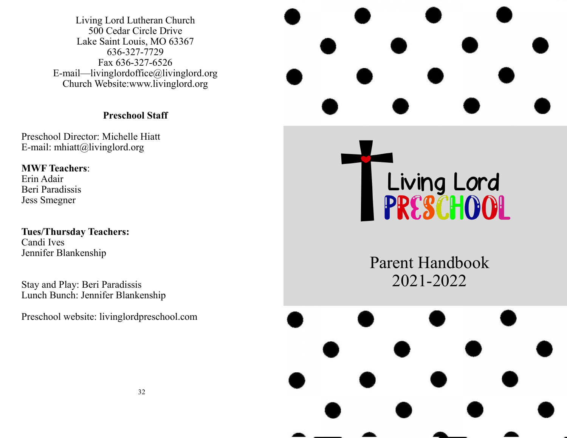Living Lord Lutheran Church 500 Cedar Circle Drive Lake Saint Louis, MO 63367 636-327-7729 Fax 636-327-6526 E-mail—livinglordoffice@livinglord.org Church Website:www.livinglord.org

# **Preschool Staff**

Preschool Director: Michelle Hiatt E-mail: mhiatt@livinglord.org

# **MWF Teachers**: Erin Adair

Beri Paradissis Jess Smegner

## **Tues/Thursday Teachers:** Candi Ives Jennifer Blankenship

Stay and Play: Beri Paradissis Lunch Bunch: Jennifer Blankenship

Preschool website: livinglordpreschool.com

Living Lord<br>PRESCHOOL

Parent Handbook 2021-2022

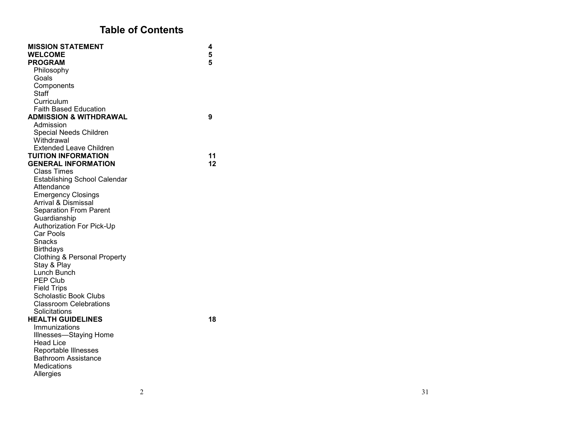# **Table of Contents**

| <b>MISSION STATEMENT</b>            | 4  |
|-------------------------------------|----|
| <b>WELCOME</b>                      | 5  |
| <b>PROGRAM</b>                      | 5  |
| Philosophy                          |    |
| Goals                               |    |
| Components                          |    |
| Staff                               |    |
| Curriculum                          |    |
| <b>Faith Based Education</b>        |    |
| <b>ADMISSION &amp; WITHDRAWAL</b>   | 9  |
| Admission                           |    |
| Special Needs Children              |    |
| Withdrawal                          |    |
| <b>Extended Leave Children</b>      |    |
| <b>TUITION INFORMATION</b>          | 11 |
| <b>GENERAL INFORMATION</b>          | 12 |
| Class Times                         |    |
| <b>Establishing School Calendar</b> |    |
| Attendance                          |    |
| <b>Emergency Closings</b>           |    |
| Arrival & Dismissal                 |    |
| <b>Separation From Parent</b>       |    |
| Guardianship                        |    |
| <b>Authorization For Pick-Up</b>    |    |
| Car Pools                           |    |
| Snacks                              |    |
| <b>Birthdays</b>                    |    |
| Clothing & Personal Property        |    |
| Stay & Play                         |    |
| Lunch Bunch                         |    |
| <b>PEP Club</b>                     |    |
| <b>Field Trips</b>                  |    |
| <b>Scholastic Book Clubs</b>        |    |
| <b>Classroom Celebrations</b>       |    |
| Solicitations                       |    |
| <b>HEALTH GUIDELINES</b>            | 18 |
| Immunizations                       |    |
| Illnesses-Staying Home              |    |
| <b>Head Lice</b>                    |    |
| Reportable Illnesses                |    |
| Bathroom Assistance                 |    |
| Medications                         |    |
| Allergies                           |    |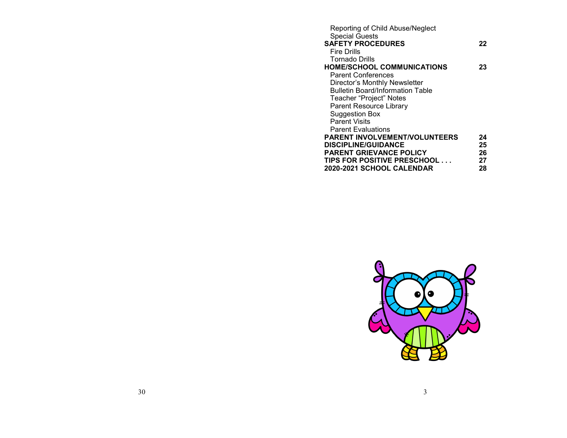| Reporting of Child Abuse/Neglect        |    |
|-----------------------------------------|----|
| <b>Special Guests</b>                   |    |
| <b>SAFETY PROCEDURES</b>                | 22 |
| <b>Fire Drills</b>                      |    |
| Tornado Drills                          |    |
| <b>HOME/SCHOOL COMMUNICATIONS</b>       | 23 |
| <b>Parent Conferences</b>               |    |
| Director's Monthly Newsletter           |    |
| <b>Bulletin Board/Information Table</b> |    |
| Teacher "Project" Notes                 |    |
| Parent Resource Library                 |    |
| <b>Suggestion Box</b>                   |    |
| <b>Parent Visits</b>                    |    |
| <b>Parent Evaluations</b>               |    |
| <b>PARENT INVOLVEMENT/VOLUNTEERS</b>    | 24 |
| <b>DISCIPLINE/GUIDANCE</b>              | 25 |
| PARENT GRIEVANCE POLICY                 | 26 |
| TIPS FOR POSITIVE PRESCHOOL             | 27 |
| 2020-2021 SCHOOL CALENDAR               | 28 |
|                                         |    |

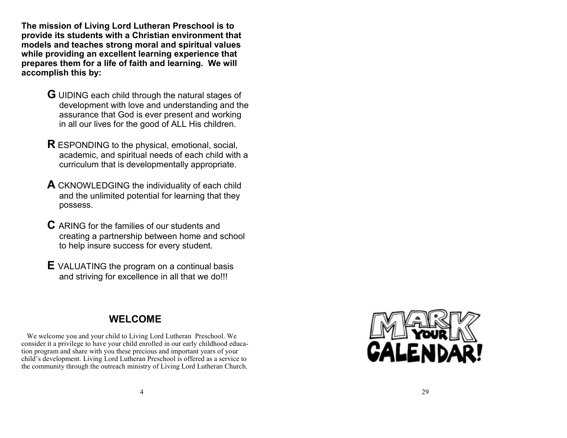**The mission of Living Lord Lutheran Preschool is to provide its students with a Christian environment that models and teaches strong moral and spiritual values while providing an excellent learning experience that prepares them for a life of faith and learning. We will accomplish this by:**

- **G** UIDING each child through the natural stages of development with love and understanding and the assurance that God is ever present and working in all our lives for the good of ALL His children.
- **R** ESPONDING to the physical, emotional, social, academic, and spiritual needs of each child with a curriculum that is developmentally appropriate.
- **A** CKNOWLEDGING the individuality of each child and the unlimited potential for learning that they possess.
- **C** ARING for the families of our students and creating a partnership between home and school to help insure success for every student.
- **E** VALUATING the program on a continual basis and striving for excellence in all that we do!!!

# **WELCOME**

 We welcome you and your child to Living Lord Lutheran Preschool. We consider it a privilege to have your child enrolled in our early childhood education program and share with you these precious and important years of your child 's development. Living Lord Lutheran Preschool is offered as a service to the community through the outreach ministry of Living Lord Lutheran Church.

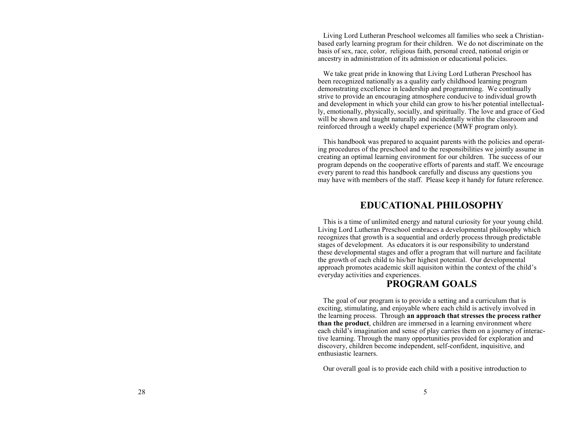Living Lord Lutheran Preschool welcomes all families who seek a Christian based early learning program for their children. We do not discriminate on the basis of sex, race, color, religious faith, personal creed, national origin or ancestry in administration of its admission or educational policies.

 We take great pride in knowing that Living Lord Lutheran Preschool has been recognized nationally as a quality early childhood learning program demonstrating excellence in leadership and programming. We continually strive to provide an encouraging atmosphere conducive to individual growth and development in which your child can grow to his/her potential intellectually, emotionally, physically, socially, and spiritually. The love and grace of God will be shown and taught naturally and incidentally within the classroom and reinforced through a weekly chapel experience (MWF program only).

 This handbook was prepared to acquaint parents with the policies and operating procedures of the preschool and to the responsibilities we jointly assume in creating an optimal learning environment for our children. The success of our program depends on the cooperative efforts of parents and staff. We encourage every parent to read this handbook carefully and discuss any questions you may have with members of the staff. Please keep it handy for future reference.

#### **EDUCATIONAL PHILOSOPHY**

 This is a time of unlimited energy and natural curiosity for your young child. Living Lord Lutheran Preschool embraces a developmental philosophy which recognizes that growth is a sequential and orderly process through predictable stages of development. As educators it is our responsibility to understand these developmental stages and offer a program that will nurture and facilitate the growth of each child to his/her highest potential. Our developmental approach promotes academic skill aquisiton within the context of the child 's everyday activities and experiences.

### **PROGRAM GOALS**

 The goal of our program is to provide a setting and a curriculum that is exciting, stimulating, and enjoyable where each child is actively involved in the learning process. Through **an approach that stresses the process rather than the product**, children are immersed in a learning environment where each child 's imagination and sense of play carries them on a journey of interactive learning. Through the many opportunities provided for exploration and discovery, children become independent, self-confident, inquisitive, and enthusiastic learners.

Our overall goal is to provide each child with a positive introduction to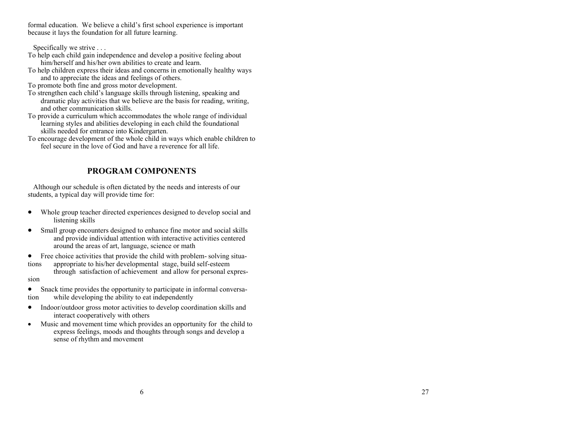formal education. We believe a child 's first school experience is important because it lays the foundation for all future learning.

Specifically we strive . . .

- To help each child gain independence and develop a positive feeling about him/herself and his/her own abilities to create and learn.
- To help children express their ideas and concerns in emotionally healthy ways and to appreciate the ideas and feelings of others.
- To promote both fine and gross motor development.
- To strengthen each child 's language skills through listening, speaking and dramatic play activities that we believe are the basis for reading, writing, and other communication skills.
- To provide a curriculum which accommodates the whole range of individual learning styles and abilities developing in each child the foundational skills needed for entrance into Kindergarten.
- To encourage development of the whole child in ways which enable children to feel secure in the love of God and have a reverence for all life.

# **PROGRAM COMPONENTS**

 Although our schedule is often dictated by the needs and interests of our students, a typical day will provide time for:

- Whole group teacher directed experiences designed to develop social and listening skills
- Small group encounters designed to enhance fine motor and social skills and provide individual attention with interactive activities centered around the areas of art, language, science or math
- Free choice activities that provide the child with problem -solving situations appropriate to his/her developmental stage, build self-esteem
- through satisfaction of achievement and allow for personal expression
- Snack time provides the opportunity to participate in informal conversation while developing the ability to eat independently
- Indoor/outdoor gross motor activities to develop coordination skills and interact cooperatively with others
- Music and movement time which provides an opportunity for the child to express feelings, moods and thoughts through songs and develop a sense of rhythm and movement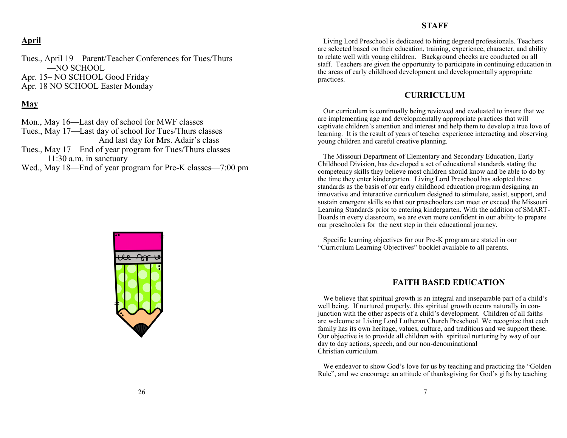#### **April**

Tues., April 19—Parent/Teacher Conferences for Tues/Thurs —NO SCHOOL Apr. 15– NO SCHOOL Good Friday Apr. 18 NO SCHOOL Easter Monday

#### **May**

Mon., May 16—Last day of school for MWF classes Tues., May 17—Last day of school for Tues/Thurs classes And last day for Mrs. Adair's class Tues., May 17—End of year program for Tues/Thurs classes— 11:30 a.m. in sanctuary Wed., May 18—End of year program for Pre-K classes—7:00 pm



#### **STAFF**

 Living Lord Preschool is dedicated to hiring degreed professionals. Teachers are selected based on their education, training, experience, character, and ability to relate well with young children. Background checks are conducted on all staff. Teachers are given the opportunity to participate in continuing education in the areas of early childhood development and developmentally appropriate practices.

#### **CURRICULUM**

 Our curriculum is continually being reviewed and evaluated to insure that we are implementing age and developmentally appropriate practices that will captivate children's attention and interest and help them to develop a true love of learning. It is the result of years of teacher experience interacting and observing young children and careful creative planning.

 The Missouri Department of Elementary and Secondary Education, Early Childhood Division, has developed a set of educational standards stating the competency skills they believe most children should know and be able to do by the time they enter kindergarten. Living Lord Preschool has adopted these standards as the basis of our early childhood education program designing an innovative and interactive curriculum designed to stimulate, assist, support, and sustain emergent skills so that our preschoolers can meet or exceed the Missouri Learning Standards prior to entering kindergarten. With the addition of SMART-Boards in every classroom, we are even more confident in our ability to prepare our preschoolers for the next step in their educational journey.

 Specific learning objectives for our Pre-K program are stated in our "Curriculum Learning Objectives" booklet available to all parents.

#### **FAITH BASED EDUCATION**

We believe that spiritual growth is an integral and inseparable part of a child's well being. If nurtured properly, this spiritual growth occurs naturally in conjunction with the other aspects of a child's development. Children of all faiths are welcome at Living Lord Lutheran Church Preschool. We recognize that each family has its own heritage, values, culture, and traditions and we support these. Our objective is to provide all children with spiritual nurturing by way of our day to day actions, speech, and our non-denominational Christian curriculum.

 We endeavor to show God's love for us by teaching and practicing the "Golden Rule", and we encourage an attitude of thanksgiving for God's gifts by teaching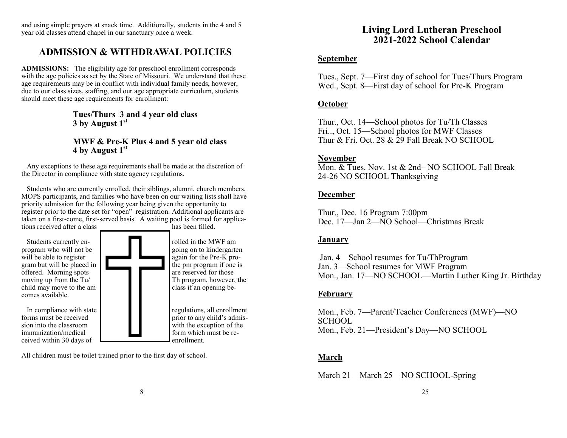and using simple prayers at snack time. Additionally, students in the 4 and 5 year old classes attend chapel in our sanctuary once a week.

# **ADMISSION & WITHDRAWAL POLICIES**

**ADMISSIONS:** The eligibility age for preschool enrollment corresponds with the age policies as set by the State of Missouri. We understand that these age requirements may be in conflict with individual family needs, however, due to our class sizes, staffing, and our age appropriate curriculum, students should meet these age requirements for enrollment:

#### **Tues/Thurs 3 and 4 year old class 3 by August 1st**

#### **MWF & Pre-K Plus 4 and 5 year old class 4 by August 1st**

 Any exceptions to these age requirements shall be made at the discretion of the Director in compliance with state agency regulations.

 Students who are currently enrolled, their siblings, alumni, church members, MOPS participants, and families who have been on our waiting lists shall have priority admission for the following year being given the opportunity to register prior to the date set for "open" registration. Additional applicants are taken on a first-come, first-served basis. A waiting pool is formed for applications received after a class has been filled.

offered. Morning spots comes available.

prior to any child's admis-

All children must be toilet trained prior to the first day of school.

# **Living Lord Lutheran Preschool 2021-2022 School Calendar**

#### **September**

Tues., Sept. 7—First day of school for Tues/Thurs Program Wed., Sept. 8—First day of school for Pre-K Program

#### **October**

Thur., Oct. 14—School photos for Tu/Th Classes Fri.., Oct. 15—School photos for MWF Classes Thur & Fri. Oct. 28 & 29 Fall Break NO SCHOOL

#### **November**

Mon. & Tues. Nov. 1st & 2nd– NO SCHOOL Fall Break 24-26 NO SCHOOL Thanksgiving

#### **December**

Thur., Dec. 16 Program 7:00pm Dec. 17—Jan 2—NO School—Christmas Break

#### **January**

Jan. 4—School resumes for Tu/ThProgram Jan. 3—School resumes for MWF Program Mon., Jan. 17—NO SCHOOL—Martin Luther King Jr. Birthday

## **February**

Mon., Feb. 7—Parent/Teacher Conferences (MWF)—NO SCHOOL Mon., Feb. 21—President's Day—NO SCHOOL

# **March**

March 21—March 25—NO SCHOOL-Spring

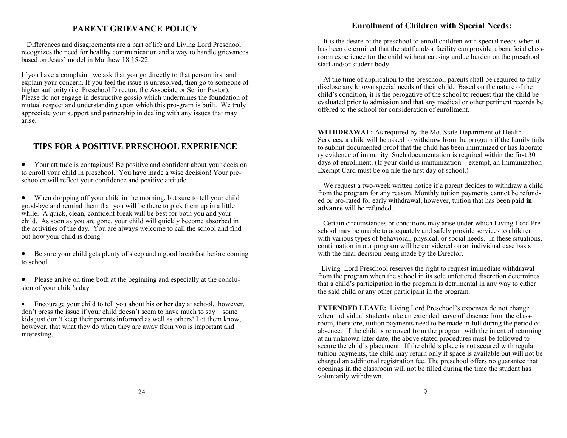#### **PARENT GRIEVANCE POLICY**

 Differences and disagreements are a part of life and Living Lord Preschool recognizes the need for healthy communication and a way to handle grievances based on Jesus' model in Matthew 18:15-22.

If you have a complaint, we ask that you go directly to that person first and explain your concern. If you feel the issue is unresolved, then go to someone of higher authority (i.e. Preschool Director, the Associate or Senior Pastor). Please do not engage in destructive gossip which undermines the foundation of mutual respect and understanding upon which this pro-gram is built. We truly appreciate your support and partnership in dealing with any issues that may arise.

#### **TIPS FOR A POSITIVE PRESCHOOL EXPERIENCE**

• Your attitude is contagious! Be positive and confident about your decision to enroll your child in preschool. You have made a wise decision! Your preschooler will reflect your confidence and positive attitude.

• When dropping off your child in the morning, but sure to tell your child good-bye and remind them that you will be there to pick them up in a little while. A quick, clean, confident break will be best for both you and your child. As soon as you are gone, your child will quickly become absorbed in the activities of the day. You are always welcome to call the school and find out how your child is doing.

• Be sure your child gets plenty of sleep and a good breakfast before coming to school.

• Please arrive on time both at the beginning and especially at the conclusion of your child's day.

• Encourage your child to tell you about his or her day at school, however, don't press the issue if your child doesn't seem to have much to say—some kids just don't keep their parents informed as well as others! Let them know, however, that what they do when they are away from you is important and interesting.

### **Enrollment of Children with Special Needs:**

 It is the desire of the preschool to enroll children with special needs when it has been determined that the staff and/or facility can provide a beneficial classroom experience for the child without causing undue burden on the preschool staff and/or student body.

 At the time of application to the preschool, parents shall be required to fully disclose any known special needs of their child. Based on the nature of the child's condition, it is the perogative of the school to request that the child be evaluated prior to admission and that any medical or other pertinent records be offered to the school for consideration of enrollment.

**WITHDRAWAL:** As required by the Mo. State Department of Health Services, a child will be asked to withdraw from the program if the family fails to submit documented proof that the child has been immunized or has laboratory evidence of immunity. Such documentation is required within the first 30 days of enrollment. (If your child is immunization – exempt, an Immunization Exempt Card must be on file the first day of school.)

 We request a two-week written notice if a parent decides to withdraw a child from the program for any reason. Monthly tuition payments cannot be refunded or pro-rated for early withdrawal, however, tuition that has been paid **in advance** will be refunded.

 Certain circumstances or conditions may arise under which Living Lord Preschool may be unable to adequately and safely provide services to children with various types of behavioral, physical, or social needs. In these situations, continuation in our program will be considered on an individual case basis with the final decision being made by the Director.

 Living Lord Preschool reserves the right to request immediate withdrawal from the program when the school in its sole unfettered discretion determines that a child's participation in the program is detrimental in any way to either the said child or any other participant in the program.

**EXTENDED LEAVE:** Living Lord Preschool's expenses do not change when individual students take an extended leave of absence from the classroom, therefore, tuition payments need to be made in full during the period of absence. If the child is removed from the program with the intent of returning at an unknown later date, the above stated procedures must be followed to secure the child's placement. If the child's place is not secured with regular tuition payments, the child may return only if space is available but will not be charged an additional registration fee. The preschool offers no guarantee that openings in the classroom will not be filled during the time the student has voluntarily withdrawn.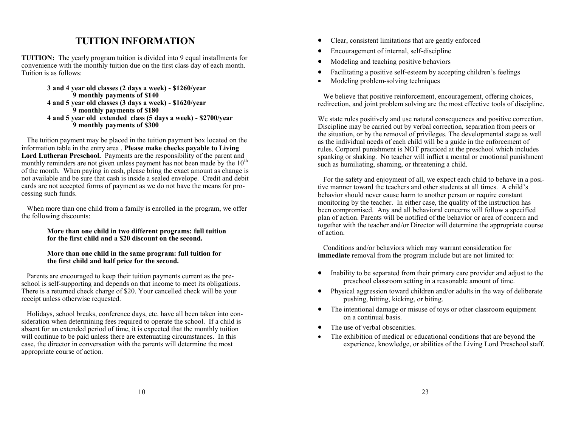# **TUITION INFORMATION**

**TUITION:** The yearly program tuition is divided into 9 equal installments for convenience with the monthly tuition due on the first class day of each month. Tuition is as follows:

> **3 and 4 year old classes (2 days a week) - \$1260/year 9 monthly payments of \$140 4 and 5 year old classes (3 days a week) - \$1620/year 9 monthly payments of \$180 4 and 5 year old extended class (5 days a week) - \$2700/year 9 monthly payments of \$300**

The tuition payment may be placed in the tuition payment box located on the information table in the entry area . **Please make checks payable to Living Lord Lutheran Preschool.** Payments are the responsibility of the parent and monthly reminders are not given unless payment has not been made by the  $10<sup>th</sup>$ of the month. When paying in cash, please bring the exact amount as change is not available and be sure that cash is inside a sealed envelope. Credit and debit cards are not accepted forms of payment as we do not have the means for processing such funds.

 When more than one child from a family is enrolled in the program, we offer the following discounts:

> **More than one child in two different programs: full tuition for the first child and a \$20 discount on the second.**

**More than one child in the same program: full tuition for the first child and half price for the second.**

 Parents are encouraged to keep their tuition payments current as the preschool is self-supporting and depends on that income to meet its obligations. There is a returned check charge of \$20. Your cancelled check will be your receipt unless otherwise requested.

 Holidays, school breaks, conference days, etc. have all been taken into consideration when determining fees required to operate the school. If a child is absent for an extended period of time, it is expected that the monthly tuition will continue to be paid unless there are extenuating circumstances. In this case, the director in conversation with the parents will determine the most appropriate course of action.

- Clear, consistent limitations that are gently enforced
- Encouragement of internal, self-discipline
- Modeling and teaching positive behaviors
- Facilitating a positive self-esteem by accepting children's feelings
- Modeling problem-solving techniques

 We believe that positive reinforcement, encouragement, offering choices, redirection, and joint problem solving are the most effective tools of discipline.

We state rules positively and use natural consequences and positive correction. Discipline may be carried out by verbal correction, separation from peers or the situation, or by the removal of privileges. The developmental stage as well as the individual needs of each child will be a guide in the enforcement of rules. Corporal punishment is NOT practiced at the preschool which includes spanking or shaking. No teacher will inflict a mental or emotional punishment such as humiliating, shaming, or threatening a child.

 For the safety and enjoyment of all, we expect each child to behave in a positive manner toward the teachers and other students at all times. A child's behavior should never cause harm to another person or require constant monitoring by the teacher. In either case, the quality of the instruction has been compromised. Any and all behavioral concerns will follow a specified plan of action. Parents will be notified of the behavior or area of concern and together with the teacher and/or Director will determine the appropriate course of action.

 Conditions and/or behaviors which may warrant consideration for **immediate** removal from the program include but are not limited to:

- Inability to be separated from their primary care provider and adjust to the preschool classroom setting in a reasonable amount of time.
- Physical aggression toward children and/or adults in the way of deliberate pushing, hitting, kicking, or biting.
- The intentional damage or misuse of toys or other classroom equipment on a continual basis.
- The use of verbal obscenities.
- The exhibition of medical or educational conditions that are beyond the experience, knowledge, or abilities of the Living Lord Preschool staff.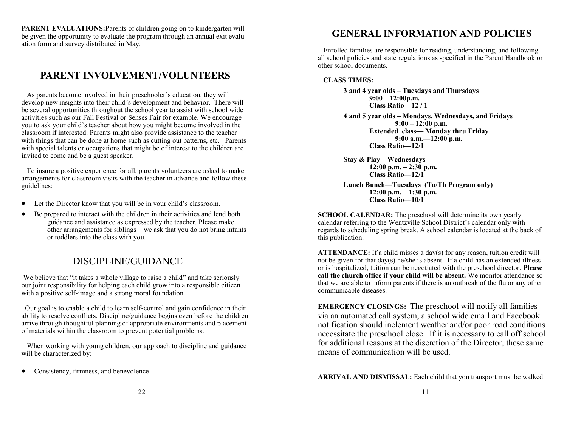**PARENT EVALUATIONS: Parents of children going on to kindergarten will** be given the opportunity to evaluate the program through an annual exit evaluation form and survey distributed in May.

# **PARENT INVOLVEMENT/VOLUNTEERS**

 As parents become involved in their preschooler's education, they will develop new insights into their child's development and behavior. There will be several opportunities throughout the school year to assist with school wide activities such as our Fall Festival or Senses Fair for example. We encourage you to ask your child's teacher about how you might become involved in the classroom if interested. Parents might also provide assistance to the teacher with things that can be done at home such as cutting out patterns, etc. Parents with special talents or occupations that might be of interest to the children are invited to come and be a guest speaker.

 To insure a positive experience for all, parents volunteers are asked to make arrangements for classroom visits with the teacher in advance and follow these guidelines:

- Let the Director know that you will be in your child's classroom.
- Be prepared to interact with the children in their activities and lend both guidance and assistance as expressed by the teacher. Please make other arrangements for siblings – we ask that you do not bring infants or toddlers into the class with you.

# DISCIPLINE/GUIDANCE

We believe that "it takes a whole village to raise a child" and take seriously our joint responsibility for helping each child grow into a responsible citizen with a positive self-image and a strong moral foundation.

 Our goal is to enable a child to learn self-control and gain confidence in their ability to resolve conflicts. Discipline/guidance begins even before the children arrive through thoughtful planning of appropriate environments and placement of materials within the classroom to prevent potential problems.

 When working with young children, our approach to discipline and guidance will be characterized by:

Consistency, firmness, and benevolence

# **GENERAL INFORMATION AND POLICIES**

 Enrolled families are responsible for reading, understanding, and following all school policies and state regulations as specified in the Parent Handbook or other school documents.

#### **CLASS TIMES:**

**3 and 4 year olds – Tuesdays and Thursdays 9:00 – 12:00p.m. Class Ratio – 12 / 1**

**4 and 5 year olds – Mondays, Wednesdays, and Fridays 9:00 – 12:00 p.m. Extended class— Monday thru Friday 9:00 a.m.—12:00 p.m. Class Ratio—12/1**

**Stay & Play – Wednesdays 12:00 p.m. – 2:30 p.m. Class Ratio—12/1**

#### **Lunch Bunch—Tuesdays (Tu/Th Program only) 12:00 p.m.—1:30 p.m. Class Ratio—10/1**

**SCHOOL CALENDAR:** The preschool will determine its own yearly calendar referring to the Wentzville School District's calendar only with regards to scheduling spring break. A school calendar is located at the back of this publication.

**ATTENDANCE:** If a child misses a day(s) for any reason, tuition credit will not be given for that day(s) he/she is absent. If a child has an extended illness or is hospitalized, tuition can be negotiated with the preschool director. **Please call the church office if your child will be absent.** We monitor attendance so that we are able to inform parents if there is an outbreak of the flu or any other communicable diseases.

**EMERGENCY CLOSINGS:** The preschool will notify all families via an automated call system, a school wide email and Facebook notification should inclement weather and/or poor road conditions necessitate the preschool close. If it is necessary to call off school for additional reasons at the discretion of the Director, these same means of communication will be used.

**ARRIVAL AND DISMISSAL:** Each child that you transport must be walked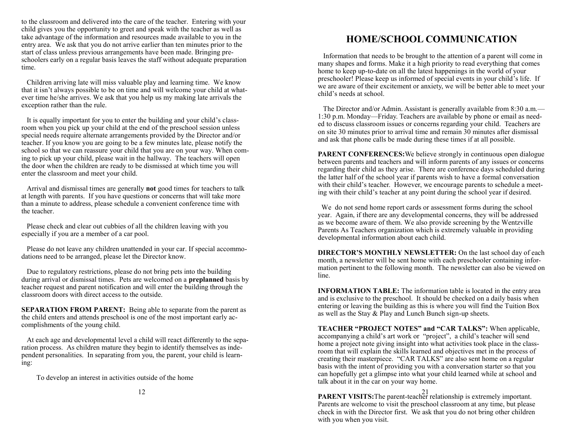to the classroom and delivered into the care of the teacher. Entering with your child gives you the opportunity to greet and speak with the teacher as well as take advantage of the information and resources made available to you in the entry area. We ask that you do not arrive earlier than ten minutes prior to the start of class unless previous arrangements have been made. Bringing preschoolers early on a regular basis leaves the staff without adequate preparation time.

 Children arriving late will miss valuable play and learning time. We know that it isn't always possible to be on time and will welcome your child at whatever time he/she arrives. We ask that you help us my making late arrivals the exception rather than the rule.

 It is equally important for you to enter the building and your child's classroom when you pick up your child at the end of the preschool session unless special needs require alternate arrangements provided by the Director and/or teacher. If you know you are going to be a few minutes late, please notify the school so that we can reassure your child that you are on your way. When coming to pick up your child, please wait in the hallway. The teachers will open the door when the children are ready to be dismissed at which time you will enter the classroom and meet your child.

 Arrival and dismissal times are generally **not** good times for teachers to talk at length with parents. If you have questions or concerns that will take more than a minute to address, please schedule a convenient conference time with the teacher.

 Please check and clear out cubbies of all the children leaving with you especially if you are a member of a car pool.

 Please do not leave any children unattended in your car. If special accommodations need to be arranged, please let the Director know.

 Due to regulatory restrictions, please do not bring pets into the building during arrival or dismissal times. Pets are welcomed on a **preplanned** basis by teacher request and parent notification and will enter the building through the classroom doors with direct access to the outside.

**SEPARATION FROM PARENT:** Being able to separate from the parent as the child enters and attends preschool is one of the most important early accomplishments of the young child.

 At each age and developmental level a child will react differently to the separation process. As children mature they begin to identify themselves as independent personalities. In separating from you, the parent, your child is learning:

To develop an interest in activities outside of the home

12

# **HOME/SCHOOL COMMUNICATION**

 Information that needs to be brought to the attention of a parent will come in many shapes and forms. Make it a high priority to read everything that comes home to keep up-to-date on all the latest happenings in the world of your preschooler! Please keep us informed of special events in your child's life. If we are aware of their excitement or anxiety, we will be better able to meet your child's needs at school.

 The Director and/or Admin. Assistant is generally available from 8:30 a.m.— 1:30 p.m. Monday—Friday. Teachers are available by phone or email as needed to discuss classroom issues or concerns regarding your child. Teachers are on site 30 minutes prior to arrival time and remain 30 minutes after dismissal and ask that phone calls be made during these times if at all possible.

**PARENT CONFERENCES:** We believe strongly in continuous open dialogue between parents and teachers and will inform parents of any issues or concerns regarding their child as they arise. There are conference days scheduled during the latter half of the school year if parents wish to have a formal conversation with their child's teacher. However, we encourage parents to schedule a meeting with their child's teacher at any point during the school year if desired.

 We do not send home report cards or assessment forms during the school year. Again, if there are any developmental concerns, they will be addressed as we become aware of them. We also provide screening by the Wentzville Parents As Teachers organization which is extremely valuable in providing developmental information about each child.

**DIRECTOR'S MONTHLY NEWSLETTER:** On the last school day of each month, a newsletter will be sent home with each preschooler containing information pertinent to the following month. The newsletter can also be viewed on line.

**INFORMATION TABLE:** The information table is located in the entry area and is exclusive to the preschool. It should be checked on a daily basis when entering or leaving the building as this is where you will find the Tuition Box as well as the Stay & Play and Lunch Bunch sign-up sheets.

**TEACHER "PROJECT NOTES" and "CAR TALKS":** When applicable, accompanying a child's art work or "project", a child's teacher will send home a project note giving insight into what activities took place in the classroom that will explain the skills learned and objectives met in the process of creating their masterpiece. "CAR TALKS" are also sent home on a regular basis with the intent of providing you with a conversation starter so that you can hopefully get a glimpse into what your child learned while at school and talk about it in the car on your way home.

21 **PARENT VISITS:**The parent-teacher relationship is extremely important. Parents are welcome to visit the preschool classroom at any time, but please check in with the Director first. We ask that you do not bring other children with you when you visit.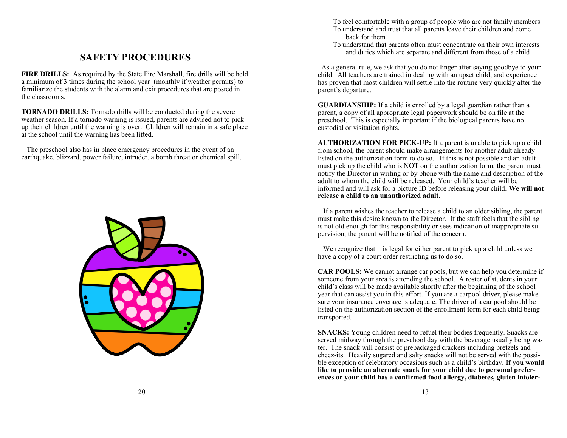# **SAFETY PROCEDURES**

**FIRE DRILLS:** As required by the State Fire Marshall, fire drills will be held a minimum of 3 times during the school year (monthly if weather permits) to familiarize the students with the alarm and exit procedures that are posted in the classrooms.

**TORNADO DRILLS:** Tornado drills will be conducted during the severe weather season. If a tornado warning is issued, parents are advised not to pick up their children until the warning is over. Children will remain in a safe place at the school until the warning has been lifted.

 The preschool also has in place emergency procedures in the event of an earthquake, blizzard, power failure, intruder, a bomb threat or chemical spill.



- To feel comfortable with a group of people who are not family members To understand and trust that all parents leave their children and come back for them
- To understand that parents often must concentrate on their own interests and duties which are separate and different from those of a child

 As a general rule, we ask that you do not linger after saying goodbye to your child. All teachers are trained in dealing with an upset child, and experience has proven that most children will settle into the routine very quickly after the parent's departure.

**GUARDIANSHIP:** If a child is enrolled by a legal guardian rather than a parent, a copy of all appropriate legal paperwork should be on file at the preschool. This is especially important if the biological parents have no custodial or visitation rights.

**AUTHORIZATION FOR PICK-UP:** If a parent is unable to pick up a child from school, the parent should make arrangements for another adult already listed on the authorization form to do so. If this is not possible and an adult must pick up the child who is NOT on the authorization form, the parent must notify the Director in writing or by phone with the name and description of the adult to whom the child will be released. Your child's teacher will be informed and will ask for a picture ID before releasing your child. **We will not release a child to an unauthorized adult.**

 If a parent wishes the teacher to release a child to an older sibling, the parent must make this desire known to the Director. If the staff feels that the sibling is not old enough for this responsibility or sees indication of inappropriate supervision, the parent will be notified of the concern.

 We recognize that it is legal for either parent to pick up a child unless we have a copy of a court order restricting us to do so.

**CAR POOLS:** We cannot arrange car pools, but we can help you determine if someone from your area is attending the school. A roster of students in your child's class will be made available shortly after the beginning of the school year that can assist you in this effort. If you are a carpool driver, please make sure your insurance coverage is adequate. The driver of a car pool should be listed on the authorization section of the enrollment form for each child being transported.

**SNACKS:** Young children need to refuel their bodies frequently. Snacks are served midway through the preschool day with the beverage usually being water. The snack will consist of prepackaged crackers including pretzels and cheez-its. Heavily sugared and salty snacks will not be served with the possible exception of celebratory occasions such as a child's birthday. **If you would like to provide an alternate snack for your child due to personal preferences or your child has a confirmed food allergy, diabetes, gluten intoler-**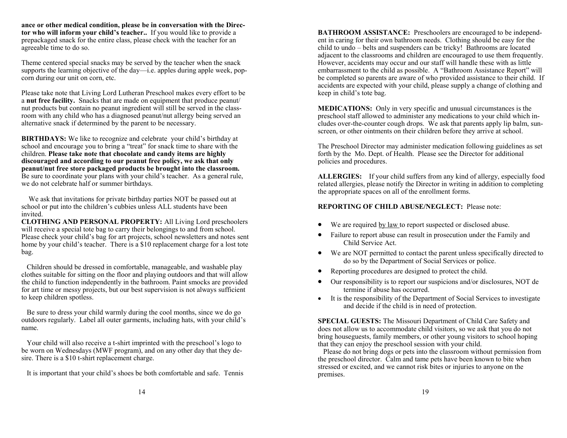**ance or other medical condition, please be in conversation with the Director who will inform your child's teacher..** If you would like to provide a prepackaged snack for the entire class, please check with the teacher for an agreeable time to do so.

Theme centered special snacks may be served by the teacher when the snack supports the learning objective of the day—i.e. apples during apple week, popcorn during our unit on corn, etc.

Please take note that Living Lord Lutheran Preschool makes every effort to be a **nut free facility.** Snacks that are made on equipment that produce peanut/ nut products but contain no peanut ingredient will still be served in the classroom with any child who has a diagnosed peanut/nut allergy being served an alternative snack if determined by the parent to be necessary.

**BIRTHDAYS:** We like to recognize and celebrate your child's birthday at school and encourage you to bring a "treat" for snack time to share with the children. **Please take note that chocolate and candy items are highly discouraged and according to our peanut free policy, we ask that only peanut/nut free store packaged products be brought into the classroom.**  Be sure to coordinate your plans with your child's teacher. As a general rule, we do not celebrate half or summer birthdays.

 We ask that invitations for private birthday parties NOT be passed out at school or put into the children's cubbies unless ALL students have been invited.

**CLOTHING AND PERSONAL PROPERTY:** All Living Lord preschoolers will receive a special tote bag to carry their belongings to and from school. Please check your child's bag for art projects, school newsletters and notes sent home by your child's teacher. There is a \$10 replacement charge for a lost tote bag.

 Children should be dressed in comfortable, manageable, and washable play clothes suitable for sitting on the floor and playing outdoors and that will allow the child to function independently in the bathroom. Paint smocks are provided for art time or messy projects, but our best supervision is not always sufficient to keep children spotless.

 Be sure to dress your child warmly during the cool months, since we do go outdoors regularly. Label all outer garments, including hats, with your child's name.

 Your child will also receive a t-shirt imprinted with the preschool's logo to be worn on Wednesdays (MWF program), and on any other day that they desire. There is a \$10 t-shirt replacement charge.

It is important that your child's shoes be both comfortable and safe. Tennis

**BATHROOM ASSISTANCE:** Preschoolers are encouraged to be independent in caring for their own bathroom needs. Clothing should be easy for the child to undo – belts and suspenders can be tricky! Bathrooms are located adjacent to the classrooms and children are encouraged to use them frequently. However, accidents may occur and our staff will handle these with as little embarrassment to the child as possible. A "Bathroom Assistance Report" will be completed so parents are aware of who provided assistance to their child. If accidents are expected with your child, please supply a change of clothing and keep in child's tote bag.

**MEDICATIONS:** Only in very specific and unusual circumstances is the preschool staff allowed to administer any medications to your child which includes over-the-counter cough drops. We ask that parents apply lip balm, sunscreen, or other ointments on their children before they arrive at school.

The Preschool Director may administer medication following guidelines as set forth by the Mo. Dept. of Health. Please see the Director for additional policies and procedures.

**ALLERGIES:** If your child suffers from any kind of allergy, especially food related allergies, please notify the Director in writing in addition to completing the appropriate spaces on all of the enrollment forms.

#### **REPORTING OF CHILD ABUSE/NEGLECT:** Please note:

- We are required by law to report suspected or disclosed abuse.
- Failure to report abuse can result in prosecution under the Family and Child Service Act.
- We are NOT permitted to contact the parent unless specifically directed to do so by the Department of Social Services or police.
- Reporting procedures are designed to protect the child.
- Our responsibility is to report our suspicions and/or disclosures, NOT de termine if abuse has occurred.
- It is the responsibility of the Department of Social Services to investigate and decide if the child is in need of protection.

**SPECIAL GUESTS:** The Missouri Department of Child Care Safety and does not allow us to accommodate child visitors, so we ask that you do not bring houseguests, family members, or other young visitors to school hoping that they can enjoy the preschool session with your child.

 Please do not bring dogs or pets into the classroom without permission from the preschool director. Calm and tame pets have been known to bite when stressed or excited, and we cannot risk bites or injuries to anyone on the premises.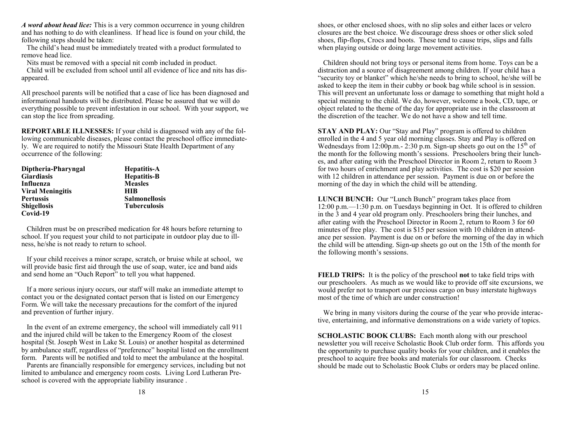*A word about head lice:* This is a very common occurrence in young children and has nothing to do with cleanliness. If head lice is found on your child, the following steps should be taken:

 The child's head must be immediately treated with a product formulated to remove head lice.

Nits must be removed with a special nit comb included in product.

 Child will be excluded from school until all evidence of lice and nits has disappeared.

All preschool parents will be notified that a case of lice has been diagnosed and informational handouts will be distributed. Please be assured that we will do everything possible to prevent infestation in our school. With your support, we can stop the lice from spreading.

**REPORTABLE ILLNESSES:** If your child is diagnosed with any of the following communicable diseases, please contact the preschool office immediately. We are required to notify the Missouri State Health Department of any occurrence of the following:

| Diptheria-Pharyngal     | Hepatitis-A          |
|-------------------------|----------------------|
| <b>Giardiasis</b>       | <b>Hepatitis-B</b>   |
| Influenza               | <b>Measles</b>       |
| <b>Viral Meningitis</b> | HIB                  |
| <b>Pertussis</b>        | <b>Salmonellosis</b> |
| <b>Shigellosis</b>      | <b>Tuberculosis</b>  |
| Covid-19                |                      |

 Children must be on prescribed medication for 48 hours before returning to school. If you request your child to not participate in outdoor play due to illness, he/she is not ready to return to school.

If your child receives a minor scrape, scratch, or bruise while at school, we will provide basic first aid through the use of soap, water, ice and band aids and send home an "Ouch Report" to tell you what happened.

 If a more serious injury occurs, our staff will make an immediate attempt to contact you or the designated contact person that is listed on our Emergency Form. We will take the necessary precautions for the comfort of the injured and prevention of further injury.

 In the event of an extreme emergency, the school will immediately call 911 and the injured child will be taken to the Emergency Room of the closest hospital (St. Joseph West in Lake St. Louis) or another hospital as determined by ambulance staff, regardless of "preference" hospital listed on the enrollment form. Parents will be notified and told to meet the ambulance at the hospital.

 Parents are financially responsible for emergency services, including but not limited to ambulance and emergency room costs. Living Lord Lutheran Preschool is covered with the appropriate liability insurance .

shoes, or other enclosed shoes, with no slip soles and either laces or velcro closures are the best choice. We discourage dress shoes or other slick soled shoes, flip-flops, Crocs and boots. These tend to cause trips, slips and falls when playing outside or doing large movement activities.

 Children should not bring toys or personal items from home. Toys can be a distraction and a source of disagreement among children. If your child has a "security toy or blanket" which he/she needs to bring to school, he/she will be asked to keep the item in their cubby or book bag while school is in session. This will prevent an unfortunate loss or damage to something that might hold a special meaning to the child. We do, however, welcome a book, CD, tape, or object related to the theme of the day for appropriate use in the classroom at the discretion of the teacher. We do not have a show and tell time.

**STAY AND PLAY:** Our "Stay and Play" program is offered to children enrolled in the 4 and 5 year old morning classes. Stay and Play is offered on Wednesdays from 12:00p.m. - 2:30 p.m. Sign-up sheets go out on the  $15<sup>th</sup>$  of the month for the following month's sessions. Preschoolers bring their lunches, and after eating with the Preschool Director in Room 2, return to Room 3 for two hours of enrichment and play activities. The cost is \$20 per session with 12 children in attendance per session. Payment is due on or before the morning of the day in which the child will be attending.

**LUNCH BUNCH:** Our "Lunch Bunch" program takes place from 12:00 p.m.—1:30 p.m. on Tuesdays beginning in Oct. It is offered to children in the 3 and 4 year old program only. Preschoolers bring their lunches, and after eating with the Preschool Director in Room 2, return to Room 3 for 60 minutes of free play. The cost is \$15 per session with 10 children in attendance per session. Payment is due on or before the morning of the day in which the child will be attending. Sign-up sheets go out on the 15th of the month for the following month's sessions.

**FIELD TRIPS:** It is the policy of the preschool **not** to take field trips with our preschoolers. As much as we would like to provide off site excursions, we would prefer not to transport our precious cargo on busy interstate highways most of the time of which are under construction!

 We bring in many visitors during the course of the year who provide interactive, entertaining, and informative demonstrations on a wide variety of topics.

**SCHOLASTIC BOOK CLUBS:** Each month along with our preschool newsletter you will receive Scholastic Book Club order form. This affords you the opportunity to purchase quality books for your children, and it enables the preschool to acquire free books and materials for our classroom. Checks should be made out to Scholastic Book Clubs or orders may be placed online.